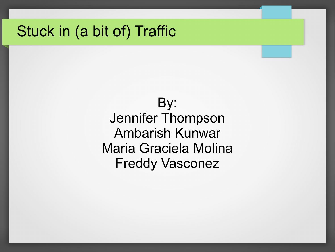### Stuck in (a bit of) Traffic

By: Jennifer Thompson Ambarish Kunwar Maria Graciela Molina Freddy Vasconez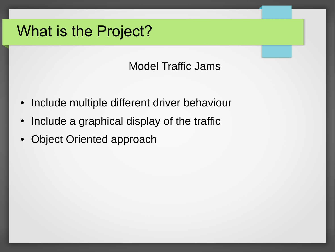## What is the Project?

Model Traffic Jams

- Include multiple different driver behaviour
- Include a graphical display of the traffic
- Object Oriented approach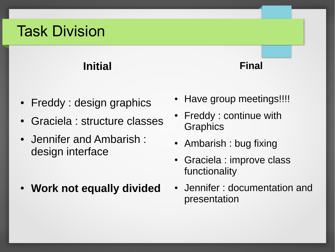## Task Division

### **Initial**

- Freddy : design graphics
- Graciela : structure classes
- Jennifer and Ambarish : design interface
- **Work not equally divided**

• Have group meetings!!!!

**Final**

- Freddy : continue with **Graphics**
- Ambarish : bug fixing
- Graciela : improve class functionality
- Jennifer : documentation and presentation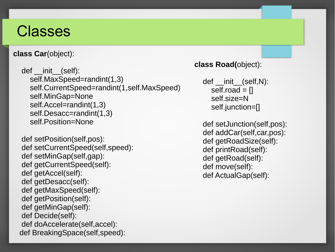### Classes

**class Car**(object):

def init (self): self.MaxSpeed=randint(1,3) self.CurrentSpeed=randint(1,self.MaxSpeed) self.MinGap=None self.Accel=randint(1,3) self.Desacc=randint(1,3) self.Position=None

 def setPosition(self,pos): def setCurrentSpeed(self,speed): def setMinGap(self,gap): def getCurrentSpeed(self): def getAccel(self): def getDesacc(self): def getMaxSpeed(self): def getPosition(self): def getMinGap(self): def Decide(self): def doAccelerate(self,accel): def BreakingSpace(self,speed):

#### **class Road(**object):

```
def init (self,N):
self.read = <math>\Box</math> self.size=N
 self.junction=[]
```
 def setJunction(self,pos): def addCar(self,car,pos): def getRoadSize(self): def printRoad(self): def getRoad(self): def move(self): def ActualGap(self):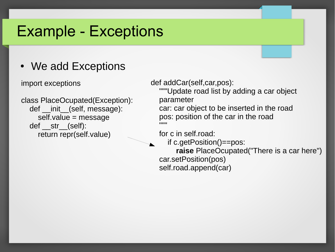### Example - Exceptions

### • We add Exceptions

import exceptions

class PlaceOcupated(Exception): def init (self, message): self.value = message def str (self): return repr(self.value)

def addCar(self,car,pos):

 """Update road list by adding a car object parameter

 car: car object to be inserted in the road pos: position of the car in the road  $\mathbb{R}^m$  """

for c in self.road:

if c.getPosition()==pos:

 **raise** PlaceOcupated("There is a car here") car.setPosition(pos) self.road.append(car)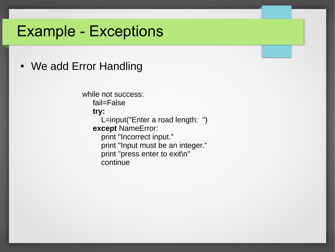### Example - Exceptions

#### • We add Error Handling

while not success: fail=False

**try:**

 L=input("Enter a road length: ") **except** NameError: print "Incorrect input." print "Input must be an integer." print "press enter to exit\n"

continue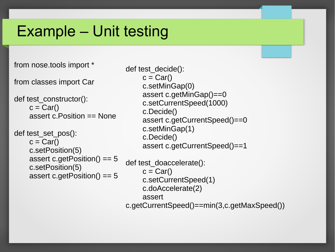## Example – Unit testing

from nose.tools import \*

from classes import Car

```
def test_constructor():
 c = Car()assert c.Position == None
```

```
def test_set_pos():
 c = Car()c.setPosition(5)
 assert c.getPosition() == 5
 c.setPosition(5)
 assert c.getPosition() == 5
```

```
def test_decide():
  c = \text{Car}() c.setMinGap(0)
   assert c.getMinGap()==0
   c.setCurrentSpeed(1000)
   c.Decide()
   assert c.getCurrentSpeed()==0
   c.setMinGap(1)
   c.Decide()
   assert c.getCurrentSpeed()==1
```
def test\_doaccelerate():  $c = Car()$  c.setCurrentSpeed(1) c.doAccelerate(2) assert c.getCurrentSpeed()==min(3,c.getMaxSpeed())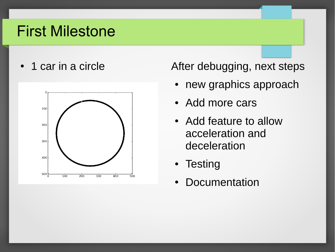## First Milestone



• 1 car in a circle **After debugging, next steps** 

- new graphics approach
- Add more cars
- Add feature to allow acceleration and deceleration
- Testing
- Documentation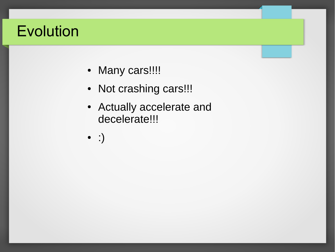## Evolution

- Many cars!!!!
- Not crashing cars!!!
- Actually accelerate and decelerate!!!
- :)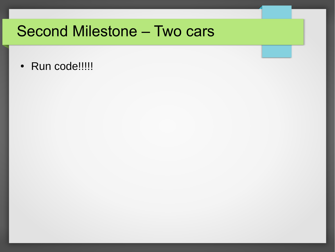### **Second Milestone - Two cars**

· Run code!!!!!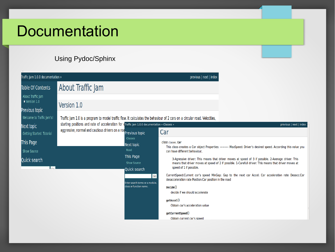### **Documentation**

#### Using Pydoc/Sphinx

| Traffic Jam 1.0.0 documentation »                                                                                                 |                                                                                                                                                                | previous   next   index                                                                                                                       |                                                                                                                                                                                                                                                                                            |                                                                                                                                                                                                                                                                                                                                                                                                                                    |  |
|-----------------------------------------------------------------------------------------------------------------------------------|----------------------------------------------------------------------------------------------------------------------------------------------------------------|-----------------------------------------------------------------------------------------------------------------------------------------------|--------------------------------------------------------------------------------------------------------------------------------------------------------------------------------------------------------------------------------------------------------------------------------------------|------------------------------------------------------------------------------------------------------------------------------------------------------------------------------------------------------------------------------------------------------------------------------------------------------------------------------------------------------------------------------------------------------------------------------------|--|
| <b>Table Of Contents</b><br>About Traffic Jam<br>$\blacksquare$ Version 1.0<br><b>Previous topic</b><br>Welcome to Traffic Jam's! | About Traffic Jam                                                                                                                                              |                                                                                                                                               |                                                                                                                                                                                                                                                                                            |                                                                                                                                                                                                                                                                                                                                                                                                                                    |  |
|                                                                                                                                   | Version 1.0<br>Traffic Jam 1.0 is a program to model traffic flow. It calculates the behaviour of 2 cars on a circular road. Velocities,                       |                                                                                                                                               |                                                                                                                                                                                                                                                                                            |                                                                                                                                                                                                                                                                                                                                                                                                                                    |  |
| Next topic<br>Getting Started: Tutorial                                                                                           | starting positions and rate of acceleration for eTraffic Jam 1.0.0 documentation » Classes »<br>aggressive, normal and cautious drivers on a roaprevious topic |                                                                                                                                               | Car                                                                                                                                                                                                                                                                                        | previous   next   index                                                                                                                                                                                                                                                                                                                                                                                                            |  |
| This Page<br>Show Source<br>Quick search<br>$\mathbf{L}$                                                                          |                                                                                                                                                                | Classes<br>Next topic<br>Road<br>This Page<br>Show Source<br>Quick search<br>Go<br>Enter search terms or a module.<br>class or function name. | Class classes. Car<br>can have different behaviour.<br>speed of 1 if possible.<br>desacceleration rate Position:Car position in the road<br>Decide()<br>decide if we should accelerate<br>getAccel()<br>Obtain car's acceleration value<br>getCurrentSpeed()<br>Obtain current car's speed | This class creates a Car object Properties: ---- MaxSpeed: Driver's desired speed. According this value you<br>3-Agressive driver: This means that driver moves at speed of 3 if possible. 2-Average driver: This<br>means that driver moves at speed of 2 if possible. 1-Carefull driver: This means that driver moves at<br>CurrentSpeed:Current car's speed MinGap: Gap to the next car Accel: Car acceleration rate Desacc:Car |  |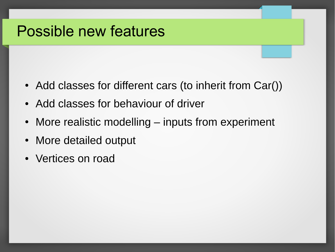### Possible new features

- Add classes for different cars (to inherit from Car())
- Add classes for behaviour of driver
- More realistic modelling inputs from experiment
- More detailed output
- Vertices on road